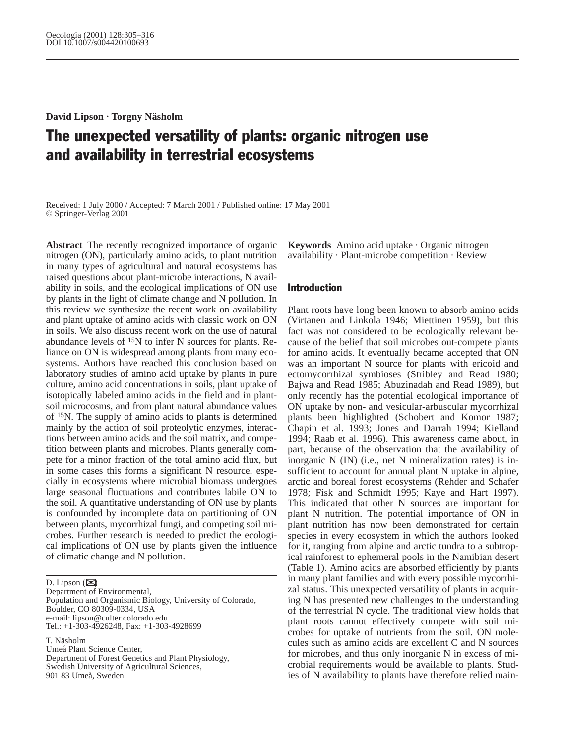**David Lipson · Torgny Näsholm**

# The unexpected versatility of plants: organic nitrogen use and availability in terrestrial ecosystems

Received: 1 July 2000 / Accepted: 7 March 2001 / Published online: 17 May 2001 © Springer-Verlag 2001

**Abstract** The recently recognized importance of organic nitrogen (ON), particularly amino acids, to plant nutrition in many types of agricultural and natural ecosystems has raised questions about plant-microbe interactions, N availability in soils, and the ecological implications of ON use by plants in the light of climate change and N pollution. In this review we synthesize the recent work on availability and plant uptake of amino acids with classic work on ON in soils. We also discuss recent work on the use of natural abundance levels of 15N to infer N sources for plants. Reliance on ON is widespread among plants from many ecosystems. Authors have reached this conclusion based on laboratory studies of amino acid uptake by plants in pure culture, amino acid concentrations in soils, plant uptake of isotopically labeled amino acids in the field and in plantsoil microcosms, and from plant natural abundance values of 15N. The supply of amino acids to plants is determined mainly by the action of soil proteolytic enzymes, interactions between amino acids and the soil matrix, and competition between plants and microbes. Plants generally compete for a minor fraction of the total amino acid flux, but in some cases this forms a significant N resource, especially in ecosystems where microbial biomass undergoes large seasonal fluctuations and contributes labile ON to the soil. A quantitative understanding of ON use by plants is confounded by incomplete data on partitioning of ON between plants, mycorrhizal fungi, and competing soil microbes. Further research is needed to predict the ecological implications of ON use by plants given the influence of climatic change and N pollution.

D. Lipson  $(\boxtimes)$ 

Department of Environmental, Population and Organismic Biology, University of Colorado, Boulder, CO 80309-0334, USA e-mail: lipson@culter.colorado.edu Tel.: +1-303-4926248, Fax: +1-303-4928699

T. Näsholm

Umeå Plant Science Center,

Department of Forest Genetics and Plant Physiology, Swedish University of Agricultural Sciences,

901 83 Umeå, Sweden

**Keywords** Amino acid uptake · Organic nitrogen availability · Plant-microbe competition · Review

# Introduction

Plant roots have long been known to absorb amino acids (Virtanen and Linkola 1946; Miettinen 1959), but this fact was not considered to be ecologically relevant because of the belief that soil microbes out-compete plants for amino acids. It eventually became accepted that ON was an important N source for plants with ericoid and ectomycorrhizal symbioses (Stribley and Read 1980; Bajwa and Read 1985; Abuzinadah and Read 1989), but only recently has the potential ecological importance of ON uptake by non- and vesicular-arbuscular mycorrhizal plants been highlighted (Schobert and Komor 1987; Chapin et al. 1993; Jones and Darrah 1994; Kielland 1994; Raab et al. 1996). This awareness came about, in part, because of the observation that the availability of inorganic N (IN) (i.e., net N mineralization rates) is insufficient to account for annual plant N uptake in alpine, arctic and boreal forest ecosystems (Rehder and Schafer 1978; Fisk and Schmidt 1995; Kaye and Hart 1997). This indicated that other N sources are important for plant N nutrition. The potential importance of ON in plant nutrition has now been demonstrated for certain species in every ecosystem in which the authors looked for it, ranging from alpine and arctic tundra to a subtropical rainforest to ephemeral pools in the Namibian desert (Table 1). Amino acids are absorbed efficiently by plants in many plant families and with every possible mycorrhizal status. This unexpected versatility of plants in acquiring N has presented new challenges to the understanding of the terrestrial N cycle. The traditional view holds that plant roots cannot effectively compete with soil microbes for uptake of nutrients from the soil. ON molecules such as amino acids are excellent C and N sources for microbes, and thus only inorganic N in excess of microbial requirements would be available to plants. Studies of N availability to plants have therefore relied main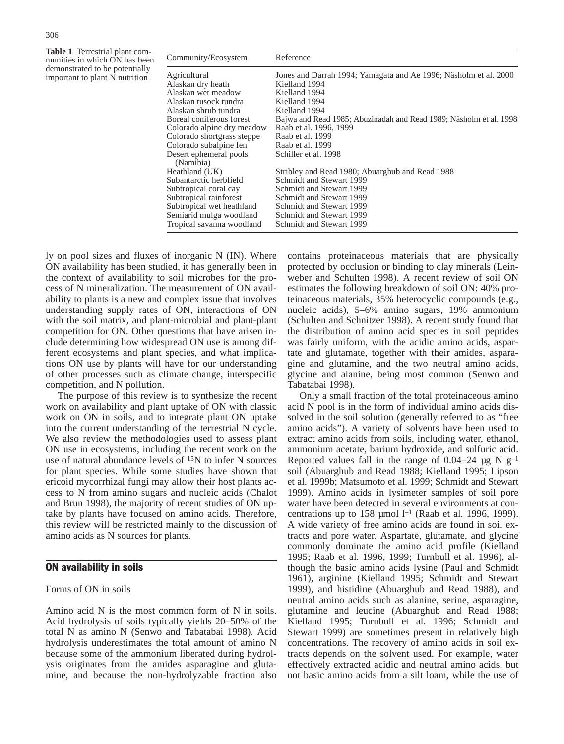**Table 1** Terrestrial plant communities in which ON has been demonstrated to be potentially important to plant N nutrition

| Community/Ecosystem        | Reference                                                          |
|----------------------------|--------------------------------------------------------------------|
| Agricultural               | Jones and Darrah 1994; Yamagata and Ae 1996; Näsholm et al. 2000   |
| Alaskan dry heath          | Kielland 1994                                                      |
| Alaskan wet meadow         | Kielland 1994                                                      |
| Alaskan tusock tundra      | Kielland 1994                                                      |
| Alaskan shrub tundra       | Kielland 1994                                                      |
| Boreal coniferous forest   | Bajwa and Read 1985; Abuzinadah and Read 1989; Näsholm et al. 1998 |
| Colorado alpine dry meadow | Raab et al. 1996, 1999                                             |
| Colorado shortgrass steppe | Raab et al. 1999                                                   |
| Colorado subalpine fen     | Raab et al. 1999                                                   |
| Desert ephemeral pools     | Schiller et al. 1998                                               |
| (Namibia)                  |                                                                    |
| Heathland (UK)             | Stribley and Read 1980; Abuarghub and Read 1988                    |
| Subantarctic herbfield     | Schmidt and Stewart 1999                                           |
| Subtropical coral cay      | Schmidt and Stewart 1999                                           |
| Subtropical rainforest     | Schmidt and Stewart 1999                                           |
| Subtropical wet heathland  | Schmidt and Stewart 1999                                           |
| Semiarid mulga woodland    | Schmidt and Stewart 1999                                           |
| Tropical savanna woodland  | Schmidt and Stewart 1999                                           |
|                            |                                                                    |

ly on pool sizes and fluxes of inorganic N (IN). Where ON availability has been studied, it has generally been in the context of availability to soil microbes for the process of N mineralization. The measurement of ON availability to plants is a new and complex issue that involves understanding supply rates of ON, interactions of ON with the soil matrix, and plant-microbial and plant-plant competition for ON. Other questions that have arisen include determining how widespread ON use is among different ecosystems and plant species, and what implications ON use by plants will have for our understanding of other processes such as climate change, interspecific competition, and N pollution.

The purpose of this review is to synthesize the recent work on availability and plant uptake of ON with classic work on ON in soils, and to integrate plant ON uptake into the current understanding of the terrestrial N cycle. We also review the methodologies used to assess plant ON use in ecosystems, including the recent work on the use of natural abundance levels of 15N to infer N sources for plant species. While some studies have shown that ericoid mycorrhizal fungi may allow their host plants access to N from amino sugars and nucleic acids (Chalot and Brun 1998), the majority of recent studies of ON uptake by plants have focused on amino acids. Therefore, this review will be restricted mainly to the discussion of amino acids as N sources for plants.

## ON availability in soils

#### Forms of ON in soils

Amino acid N is the most common form of N in soils. Acid hydrolysis of soils typically yields 20–50% of the total N as amino N (Senwo and Tabatabai 1998). Acid hydrolysis underestimates the total amount of amino N because some of the ammonium liberated during hydrolysis originates from the amides asparagine and glutamine, and because the non-hydrolyzable fraction also

contains proteinaceous materials that are physically protected by occlusion or binding to clay minerals (Leinweber and Schulten 1998). A recent review of soil ON estimates the following breakdown of soil ON: 40% proteinaceous materials, 35% heterocyclic compounds (e.g., nucleic acids), 5–6% amino sugars, 19% ammonium (Schulten and Schnitzer 1998). A recent study found that the distribution of amino acid species in soil peptides was fairly uniform, with the acidic amino acids, aspartate and glutamate, together with their amides, asparagine and glutamine, and the two neutral amino acids, glycine and alanine, being most common (Senwo and Tabatabai 1998).

Only a small fraction of the total proteinaceous amino acid N pool is in the form of individual amino acids dissolved in the soil solution (generally referred to as "free amino acids"). A variety of solvents have been used to extract amino acids from soils, including water, ethanol, ammonium acetate, barium hydroxide, and sulfuric acid. Reported values fall in the range of 0.04–24  $\mu$ g N g<sup>-1</sup> soil (Abuarghub and Read 1988; Kielland 1995; Lipson et al. 1999b; Matsumoto et al. 1999; Schmidt and Stewart 1999). Amino acids in lysimeter samples of soil pore water have been detected in several environments at concentrations up to 158  $\mu$ mol l<sup>-1</sup> (Raab et al. 1996, 1999). A wide variety of free amino acids are found in soil extracts and pore water. Aspartate, glutamate, and glycine commonly dominate the amino acid profile (Kielland 1995; Raab et al. 1996, 1999; Turnbull et al. 1996), although the basic amino acids lysine (Paul and Schmidt 1961), arginine (Kielland 1995; Schmidt and Stewart 1999), and histidine (Abuarghub and Read 1988), and neutral amino acids such as alanine, serine, asparagine, glutamine and leucine (Abuarghub and Read 1988; Kielland 1995; Turnbull et al. 1996; Schmidt and Stewart 1999) are sometimes present in relatively high concentrations. The recovery of amino acids in soil extracts depends on the solvent used. For example, water effectively extracted acidic and neutral amino acids, but not basic amino acids from a silt loam, while the use of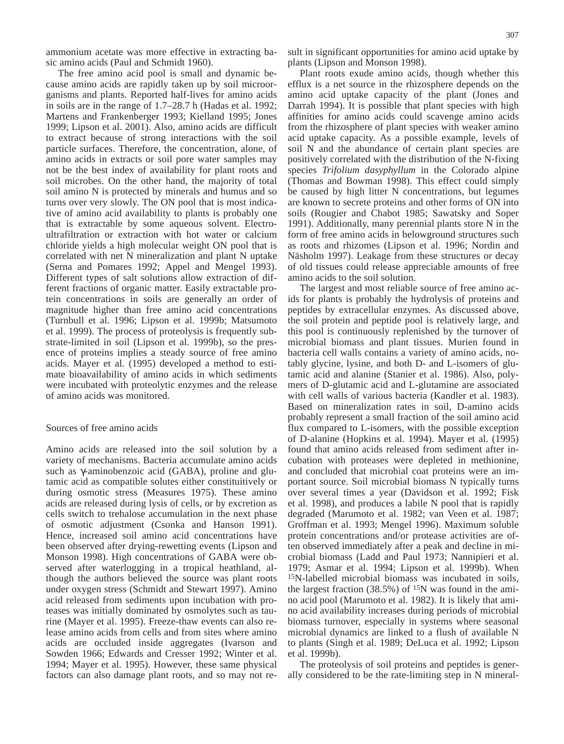ammonium acetate was more effective in extracting basic amino acids (Paul and Schmidt 1960).

The free amino acid pool is small and dynamic because amino acids are rapidly taken up by soil microorganisms and plants. Reported half-lives for amino acids in soils are in the range of 1.7–28.7 h (Hadas et al. 1992; Martens and Frankenberger 1993; Kielland 1995; Jones 1999; Lipson et al. 2001). Also, amino acids are difficult to extract because of strong interactions with the soil particle surfaces. Therefore, the concentration, alone, of amino acids in extracts or soil pore water samples may not be the best index of availability for plant roots and soil microbes. On the other hand, the majority of total soil amino N is protected by minerals and humus and so turns over very slowly. The ON pool that is most indicative of amino acid availability to plants is probably one that is extractable by some aqueous solvent. Electroultrafiltration or extraction with hot water or calcium chloride yields a high molecular weight ON pool that is correlated with net N mineralization and plant N uptake (Serna and Pomares 1992; Appel and Mengel 1993). Different types of salt solutions allow extraction of different fractions of organic matter. Easily extractable protein concentrations in soils are generally an order of magnitude higher than free amino acid concentrations (Turnbull et al. 1996; Lipson et al. 1999b; Matsumoto et al. 1999). The process of proteolysis is frequently substrate-limited in soil (Lipson et al. 1999b), so the presence of proteins implies a steady source of free amino acids. Mayer et al. (1995) developed a method to estimate bioavailability of amino acids in which sediments were incubated with proteolytic enzymes and the release of amino acids was monitored.

#### Sources of free amino acids

Amino acids are released into the soil solution by a variety of mechanisms. Bacteria accumulate amino acids such as γ-aminobenzoic acid (GABA), proline and glutamic acid as compatible solutes either constituitively or during osmotic stress (Measures 1975). These amino acids are released during lysis of cells, or by excretion as cells switch to trehalose accumulation in the next phase of osmotic adjustment (Csonka and Hanson 1991). Hence, increased soil amino acid concentrations have been observed after drying-rewetting events (Lipson and Monson 1998). High concentrations of GABA were observed after waterlogging in a tropical heathland, although the authors believed the source was plant roots under oxygen stress (Schmidt and Stewart 1997). Amino acid released from sediments upon incubation with proteases was initially dominated by osmolytes such as taurine (Mayer et al. 1995). Freeze-thaw events can also release amino acids from cells and from sites where amino acids are occluded inside aggregates (Ivarson and Sowden 1966; Edwards and Cresser 1992; Winter et al. 1994; Mayer et al. 1995). However, these same physical factors can also damage plant roots, and so may not result in significant opportunities for amino acid uptake by plants (Lipson and Monson 1998).

Plant roots exude amino acids, though whether this efflux is a net source in the rhizosphere depends on the amino acid uptake capacity of the plant (Jones and Darrah 1994). It is possible that plant species with high affinities for amino acids could scavenge amino acids from the rhizosphere of plant species with weaker amino acid uptake capacity. As a possible example, levels of soil N and the abundance of certain plant species are positively correlated with the distribution of the N-fixing species *Trifolium dasyphyllum* in the Colorado alpine (Thomas and Bowman 1998). This effect could simply be caused by high litter N concentrations, but legumes are known to secrete proteins and other forms of ON into soils (Rougier and Chabot 1985; Sawatsky and Soper 1991). Additionally, many perennial plants store N in the form of free amino acids in belowground structures such as roots and rhizomes (Lipson et al. 1996; Nordin and Näsholm 1997). Leakage from these structures or decay of old tissues could release appreciable amounts of free amino acids to the soil solution.

The largest and most reliable source of free amino acids for plants is probably the hydrolysis of proteins and peptides by extracellular enzymes. As discussed above, the soil protein and peptide pool is relatively large, and this pool is continuously replenished by the turnover of microbial biomass and plant tissues. Murien found in bacteria cell walls contains a variety of amino acids, notably glycine, lysine, and both D- and L-isomers of glutamic acid and alanine (Stanier et al. 1986). Also, polymers of D-glutamic acid and L-glutamine are associated with cell walls of various bacteria (Kandler et al. 1983). Based on mineralization rates in soil, D-amino acids probably represent a small fraction of the soil amino acid flux compared to L-isomers, with the possible exception of D-alanine (Hopkins et al. 1994). Mayer et al. (1995) found that amino acids released from sediment after incubation with proteases were depleted in methionine, and concluded that microbial coat proteins were an important source. Soil microbial biomass N typically turns over several times a year (Davidson et al. 1992; Fisk et al. 1998), and produces a labile N pool that is rapidly degraded (Marumoto et al. 1982; van Veen et al. 1987; Groffman et al. 1993; Mengel 1996). Maximum soluble protein concentrations and/or protease activities are often observed immediately after a peak and decline in microbial biomass (Ladd and Paul 1973; Nannipieri et al. 1979; Asmar et al. 1994; Lipson et al. 1999b). When 15N-labelled microbial biomass was incubated in soils, the largest fraction  $(38.5\%)$  of <sup>15</sup>N was found in the amino acid pool (Marumoto et al. 1982). It is likely that amino acid availability increases during periods of microbial biomass turnover, especially in systems where seasonal microbial dynamics are linked to a flush of available N to plants (Singh et al. 1989; DeLuca et al. 1992; Lipson et al. 1999b).

The proteolysis of soil proteins and peptides is generally considered to be the rate-limiting step in N mineral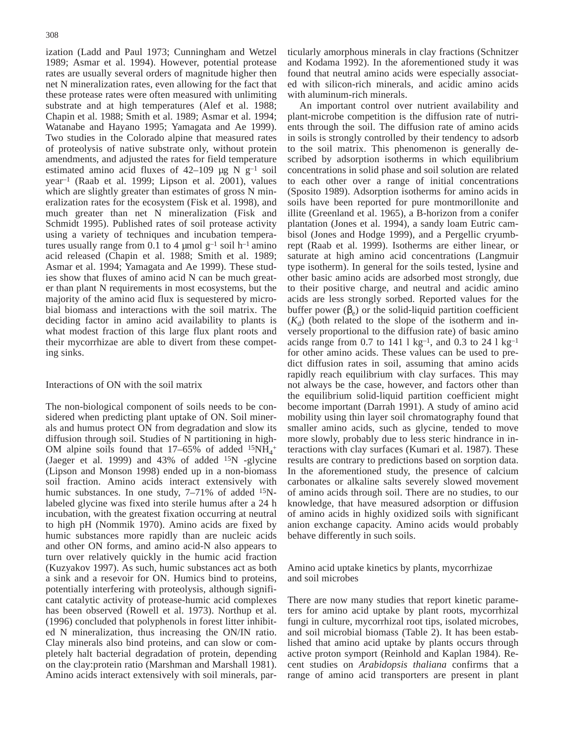ization (Ladd and Paul 1973; Cunningham and Wetzel 1989; Asmar et al. 1994). However, potential protease rates are usually several orders of magnitude higher then net N mineralization rates, even allowing for the fact that these protease rates were often measured with unlimiting substrate and at high temperatures (Alef et al. 1988; Chapin et al. 1988; Smith et al. 1989; Asmar et al. 1994; Watanabe and Hayano 1995; Yamagata and Ae 1999). Two studies in the Colorado alpine that measured rates of proteolysis of native substrate only, without protein amendments, and adjusted the rates for field temperature estimated amino acid fluxes of  $42-109$  µg N g<sup>-1</sup> soil year–1 (Raab et al. 1999; Lipson et al. 2001), values which are slightly greater than estimates of gross N mineralization rates for the ecosystem (Fisk et al. 1998), and much greater than net N mineralization (Fisk and Schmidt 1995). Published rates of soil protease activity using a variety of techniques and incubation temperatures usually range from 0.1 to 4  $\mu$ mol g<sup>-1</sup> soil h<sup>-1</sup> amino acid released (Chapin et al. 1988; Smith et al. 1989; Asmar et al. 1994; Yamagata and Ae 1999). These studies show that fluxes of amino acid N can be much greater than plant N requirements in most ecosystems, but the majority of the amino acid flux is sequestered by microbial biomass and interactions with the soil matrix. The deciding factor in amino acid availability to plants is what modest fraction of this large flux plant roots and their mycorrhizae are able to divert from these competing sinks.

## Interactions of ON with the soil matrix

The non-biological component of soils needs to be considered when predicting plant uptake of ON. Soil minerals and humus protect ON from degradation and slow its diffusion through soil. Studies of N partitioning in high-OM alpine soils found that  $17-65\%$  of added  $15NH_4$ <sup>+</sup> (Jaeger et al. 1999) and 43% of added  $15N$  -glycine (Lipson and Monson 1998) ended up in a non-biomass soil fraction. Amino acids interact extensively with humic substances. In one study, 7–71% of added <sup>15</sup>Nlabeled glycine was fixed into sterile humus after a 24 h incubation, with the greatest fixation occurring at neutral to high pH (Nommik 1970). Amino acids are fixed by humic substances more rapidly than are nucleic acids and other ON forms, and amino acid-N also appears to turn over relatively quickly in the humic acid fraction (Kuzyakov 1997). As such, humic substances act as both a sink and a resevoir for ON. Humics bind to proteins, potentially interfering with proteolysis, although significant catalytic activity of protease-humic acid complexes has been observed (Rowell et al. 1973). Northup et al. (1996) concluded that polyphenols in forest litter inhibited N mineralization, thus increasing the ON/IN ratio. Clay minerals also bind proteins, and can slow or completely halt bacterial degradation of protein, depending on the clay:protein ratio (Marshman and Marshall 1981). Amino acids interact extensively with soil minerals, particularly amorphous minerals in clay fractions (Schnitzer and Kodama 1992). In the aforementioned study it was found that neutral amino acids were especially associated with silicon-rich minerals, and acidic amino acids with aluminum-rich minerals.

An important control over nutrient availability and plant-microbe competition is the diffusion rate of nutrients through the soil. The diffusion rate of amino acids in soils is strongly controlled by their tendency to adsorb to the soil matrix. This phenomenon is generally described by adsorption isotherms in which equilibrium concentrations in solid phase and soil solution are related to each other over a range of initial concentrations (Sposito 1989). Adsorption isotherms for amino acids in soils have been reported for pure montmorillonite and illite (Greenland et al. 1965), a B-horizon from a conifer plantation (Jones et al. 1994), a sandy loam Eutric cambisol (Jones and Hodge 1999), and a Pergellic cryumbrept (Raab et al. 1999). Isotherms are either linear, or saturate at high amino acid concentrations (Langmuir type isotherm). In general for the soils tested, lysine and other basic amino acids are adsorbed most strongly, due to their positive charge, and neutral and acidic amino acids are less strongly sorbed. Reported values for the buffer power  $(\beta_e)$  or the solid-liquid partition coefficient  $(K_d)$  (both related to the slope of the isotherm and inversely proportional to the diffusion rate) of basic amino acids range from  $0.7$  to  $141 \, 1 \, \text{kg}^{-1}$ , and  $0.3$  to  $24 \, 1 \, \text{kg}^{-1}$ for other amino acids. These values can be used to predict diffusion rates in soil, assuming that amino acids rapidly reach equilibrium with clay surfaces. This may not always be the case, however, and factors other than the equilibrium solid-liquid partition coefficient might become important (Darrah 1991). A study of amino acid mobility using thin layer soil chromatography found that smaller amino acids, such as glycine, tended to move more slowly, probably due to less steric hindrance in interactions with clay surfaces (Kumari et al. 1987). These results are contrary to predictions based on sorption data. In the aforementioned study, the presence of calcium carbonates or alkaline salts severely slowed movement of amino acids through soil. There are no studies, to our knowledge, that have measured adsorption or diffusion of amino acids in highly oxidized soils with significant anion exchange capacity. Amino acids would probably behave differently in such soils.

Amino acid uptake kinetics by plants, mycorrhizae and soil microbes

There are now many studies that report kinetic parameters for amino acid uptake by plant roots, mycorrhizal fungi in culture, mycorrhizal root tips, isolated microbes, and soil microbial biomass (Table 2). It has been established that amino acid uptake by plants occurs through active proton symport (Reinhold and Kaplan 1984). Recent studies on *Arabidopsis thaliana* confirms that a range of amino acid transporters are present in plant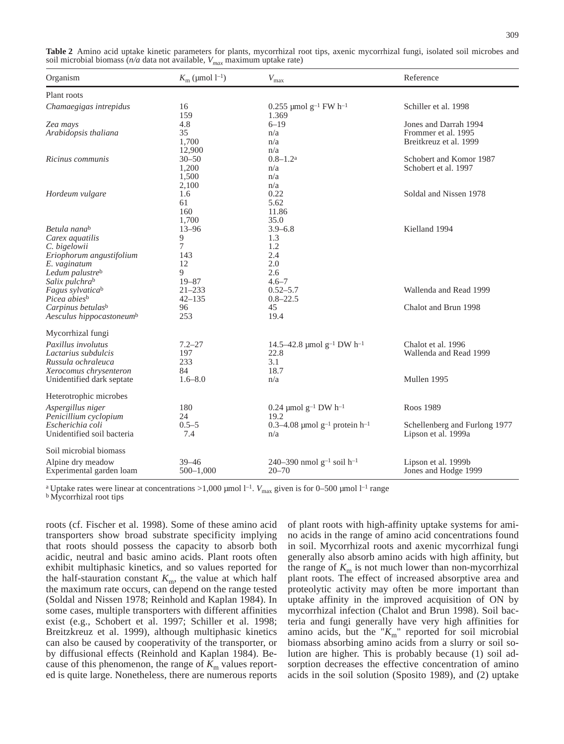| Organism                                                                                                                                     | $K_{\rm m}$ (µmol 1 <sup>-1</sup> )                             | $V_{\text{max}}$                                                  | Reference                                                              |
|----------------------------------------------------------------------------------------------------------------------------------------------|-----------------------------------------------------------------|-------------------------------------------------------------------|------------------------------------------------------------------------|
| Plant roots                                                                                                                                  |                                                                 |                                                                   |                                                                        |
| Chamaegigas intrepidus                                                                                                                       | 16<br>159                                                       | $0.255$ µmol g <sup>-1</sup> FW h <sup>-1</sup><br>1.369          | Schiller et al. 1998                                                   |
| Zea mays<br>Arabidopsis thaliana                                                                                                             | 4.8<br>35<br>1,700<br>12,900                                    | $6 - 19$<br>n/a<br>n/a<br>n/a                                     | Jones and Darrah 1994<br>Frommer et al. 1995<br>Breitkreuz et al. 1999 |
| Ricinus communis                                                                                                                             | $30 - 50$<br>1,200<br>1,500<br>2,100                            | $0.8 - 1.2$ <sup>a</sup><br>n/a<br>n/a<br>n/a                     | Schobert and Komor 1987<br>Schobert et al. 1997                        |
| Hordeum vulgare                                                                                                                              | 1.6<br>61<br>160<br>1,700                                       | 0.22<br>5.62<br>11.86<br>35.0                                     | Soldal and Nissen 1978                                                 |
| Betula nana <sup>b</sup><br>Carex aquatilis<br>C. bigelowii<br>Eriophorum angustifolium<br>E. vaginatum<br>Ledum palustreb<br>Salix pulchrab | $13 - 96$<br>9<br>$\overline{7}$<br>143<br>12<br>9<br>$19 - 87$ | $3.9 - 6.8$<br>1.3<br>1.2<br>2.4<br>2.0<br>2.6<br>$4.6 - 7$       | Kielland 1994                                                          |
| Fagus sylvaticab<br>Picea abies <sup>b</sup>                                                                                                 | $21 - 233$<br>$42 - 135$                                        | $0.52 - 5.7$<br>$0.8 - 22.5$                                      | Wallenda and Read 1999                                                 |
| Carpinus betulas <sup>b</sup><br>Aesculus hippocastoneum <sup>b</sup>                                                                        | 96<br>253                                                       | 45<br>19.4                                                        | Chalot and Brun 1998                                                   |
| Mycorrhizal fungi                                                                                                                            |                                                                 |                                                                   |                                                                        |
| Paxillus involutus<br>Lactarius subdulcis<br>Russula ochraleuca<br>Xerocomus chrysenteron                                                    | $7.2 - 27$<br>197<br>233<br>84                                  | 14.5–42.8 µmol $g^{-1}$ DW h <sup>-1</sup><br>22.8<br>3.1<br>18.7 | Chalot et al. 1996<br>Wallenda and Read 1999                           |
| Unidentified dark septate                                                                                                                    | $1.6 - 8.0$                                                     | n/a                                                               | Mullen 1995                                                            |
| Heterotrophic microbes                                                                                                                       |                                                                 |                                                                   |                                                                        |
| Aspergillus niger<br>Penicillium cyclopium                                                                                                   | 180<br>24                                                       | 0.24 $\mu$ mol g <sup>-1</sup> DW h <sup>-1</sup><br>19.2         | Roos 1989                                                              |
| Escherichia coli<br>Unidentified soil bacteria                                                                                               | $0.5 - 5$<br>7.4                                                | 0.3–4.08 µmol g <sup>-1</sup> protein h <sup>-1</sup><br>n/a      | Schellenberg and Furlong 1977<br>Lipson et al. 1999a                   |
| Soil microbial biomass                                                                                                                       |                                                                 |                                                                   |                                                                        |
| Alpine dry meadow<br>Experimental garden loam                                                                                                | 39–46<br>$500 - 1,000$                                          | 240–390 nmol $g^{-1}$ soil h <sup>-1</sup><br>$20 - 70$           | Lipson et al. 1999b<br>Jones and Hodge 1999                            |

**Table 2** Amino acid uptake kinetic parameters for plants, mycorrhizal root tips, axenic mycorrhizal fungi, isolated soil microbes and soil microbial biomass (*n/a* data not available, *Vmax* maximum uptake rate)

<sup>a</sup> Uptake rates were linear at concentrations >1,000 µmol l<sup>-1</sup>.  $V_{\text{max}}$  given is for 0–500 µmol l<sup>-1</sup> range b Mycorrhizal root tips

roots (cf. Fischer et al. 1998). Some of these amino acid transporters show broad substrate specificity implying that roots should possess the capacity to absorb both acidic, neutral and basic amino acids. Plant roots often exhibit multiphasic kinetics, and so values reported for the half-stauration constant  $K<sub>m</sub>$ , the value at which half the maximum rate occurs, can depend on the range tested (Soldal and Nissen 1978; Reinhold and Kaplan 1984). In some cases, multiple transporters with different affinities exist (e.g., Schobert et al. 1997; Schiller et al. 1998; Breitzkreuz et al. 1999), although multiphasic kinetics can also be caused by cooperativity of the transporter, or by diffusional effects (Reinhold and Kaplan 1984). Because of this phenomenon, the range of  $K<sub>m</sub>$  values reported is quite large. Nonetheless, there are numerous reports

of plant roots with high-affinity uptake systems for amino acids in the range of amino acid concentrations found in soil. Mycorrhizal roots and axenic mycorrhizal fungi generally also absorb amino acids with high affinity, but the range of  $K<sub>m</sub>$  is not much lower than non-mycorrhizal plant roots. The effect of increased absorptive area and proteolytic activity may often be more important than uptake affinity in the improved acquisition of ON by mycorrhizal infection (Chalot and Brun 1998). Soil bacteria and fungi generally have very high affinities for amino acids, but the " $K_m$ " reported for soil microbial biomass absorbing amino acids from a slurry or soil solution are higher. This is probably because (1) soil adsorption decreases the effective concentration of amino acids in the soil solution (Sposito 1989), and (2) uptake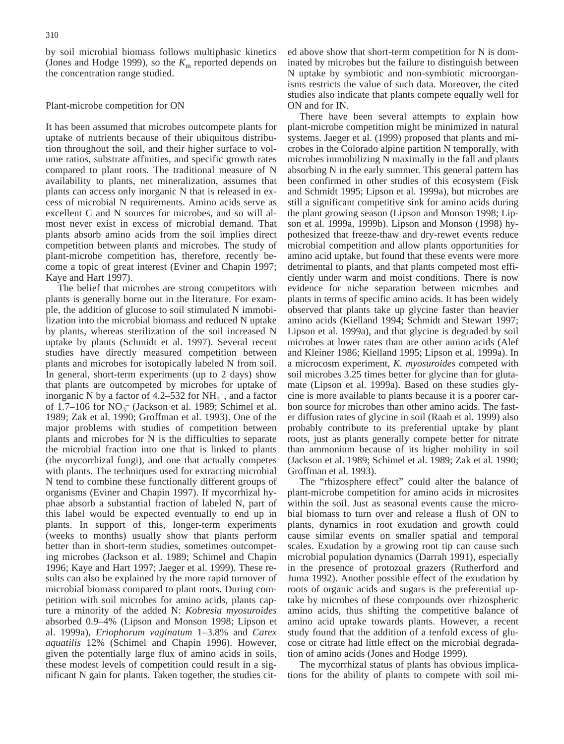by soil microbial biomass follows multiphasic kinetics (Jones and Hodge 1999), so the  $K<sub>m</sub>$  reported depends on the concentration range studied.

#### Plant-microbe competition for ON

It has been assumed that microbes outcompete plants for uptake of nutrients because of their ubiquitous distribution throughout the soil, and their higher surface to volume ratios, substrate affinities, and specific growth rates compared to plant roots. The traditional measure of N availability to plants, net mineralization, assumes that plants can access only inorganic N that is released in excess of microbial N requirements. Amino acids serve as excellent C and N sources for microbes, and so will almost never exist in excess of microbial demand. That plants absorb amino acids from the soil implies direct competition between plants and microbes. The study of plant-microbe competition has, therefore, recently become a topic of great interest (Eviner and Chapin 1997; Kaye and Hart 1997).

The belief that microbes are strong competitors with plants is generally borne out in the literature. For example, the addition of glucose to soil stimulated N immobilization into the microbial biomass and reduced N uptake by plants, whereas sterilization of the soil increased N uptake by plants (Schmidt et al. 1997). Several recent studies have directly measured competition between plants and microbes for isotopically labeled N from soil. In general, short-term experiments (up to 2 days) show that plants are outcompeted by microbes for uptake of inorganic N by a factor of  $4.2-532$  for  $NH_4^+$ , and a factor of 1.7–106 for  $NO_3^-$  (Jackson et al. 1989; Schimel et al. 1989; Zak et al. 1990; Groffman et al. 1993). One of the major problems with studies of competition between plants and microbes for N is the difficulties to separate the microbial fraction into one that is linked to plants (the mycorrhizal fungi), and one that actually competes with plants. The techniques used for extracting microbial N tend to combine these functionally different groups of organisms (Eviner and Chapin 1997). If mycorrhizal hyphae absorb a substantial fraction of labeled N, part of this label would be expected eventually to end up in plants. In support of this, longer-term experiments (weeks to months) usually show that plants perform better than in short-term studies, sometimes outcompeting microbes (Jackson et al. 1989; Schimel and Chapin 1996; Kaye and Hart 1997; Jaeger et al. 1999). These results can also be explained by the more rapid turnover of microbial biomass compared to plant roots. During competition with soil microbes for amino acids, plants capture a minority of the added N: *Kobresia myosuroides* absorbed 0.9–4% (Lipson and Monson 1998; Lipson et al. 1999a), *Eriophorum vaginatum* 1–3.8% and *Carex aquatilis* 12% (Schimel and Chapin 1996). However, given the potentially large flux of amino acids in soils, these modest levels of competition could result in a significant N gain for plants. Taken together, the studies cited above show that short-term competition for N is dominated by microbes but the failure to distinguish between N uptake by symbiotic and non-symbiotic microorganisms restricts the value of such data. Moreover, the cited studies also indicate that plants compete equally well for ON and for IN.

There have been several attempts to explain how plant-microbe competition might be minimized in natural systems. Jaeger et al. (1999) proposed that plants and microbes in the Colorado alpine partition N temporally, with microbes immobilizing N maximally in the fall and plants absorbing N in the early summer. This general pattern has been confirmed in other studies of this ecosystem (Fisk and Schmidt 1995; Lipson et al. 1999a), but microbes are still a significant competitive sink for amino acids during the plant growing season (Lipson and Monson 1998; Lipson et al. 1999a, 1999b). Lipson and Monson (1998) hypothesized that freeze-thaw and dry-rewet events reduce microbial competition and allow plants opportunities for amino acid uptake, but found that these events were more detrimental to plants, and that plants competed most efficiently under warm and moist conditions. There is now evidence for niche separation between microbes and plants in terms of specific amino acids. It has been widely observed that plants take up glycine faster than heavier amino acids (Kielland 1994; Schmidt and Stewart 1997; Lipson et al. 1999a), and that glycine is degraded by soil microbes at lower rates than are other amino acids (Alef and Kleiner 1986; Kielland 1995; Lipson et al. 1999a). In a microcosm experiment, *K. myosuroides* competed with soil microbes 3.25 times better for glycine than for glutamate (Lipson et al. 1999a). Based on these studies glycine is more available to plants because it is a poorer carbon source for microbes than other amino acids. The faster diffusion rates of glycine in soil (Raab et al. 1999) also probably contribute to its preferential uptake by plant roots, just as plants generally compete better for nitrate than ammonium because of its higher mobility in soil (Jackson et al. 1989; Schimel et al. 1989; Zak et al. 1990; Groffman et al. 1993).

The "rhizosphere effect" could alter the balance of plant-microbe competition for amino acids in microsites within the soil. Just as seasonal events cause the microbial biomass to turn over and release a flush of ON to plants, dynamics in root exudation and growth could cause similar events on smaller spatial and temporal scales. Exudation by a growing root tip can cause such microbial population dynamics (Darrah 1991), especially in the presence of protozoal grazers (Rutherford and Juma 1992). Another possible effect of the exudation by roots of organic acids and sugars is the preferential uptake by microbes of these compounds over rhizospheric amino acids, thus shifting the competitive balance of amino acid uptake towards plants. However, a recent study found that the addition of a tenfold excess of glucose or citrate had little effect on the microbial degradation of amino acids (Jones and Hodge 1999).

The mycorrhizal status of plants has obvious implications for the ability of plants to compete with soil mi-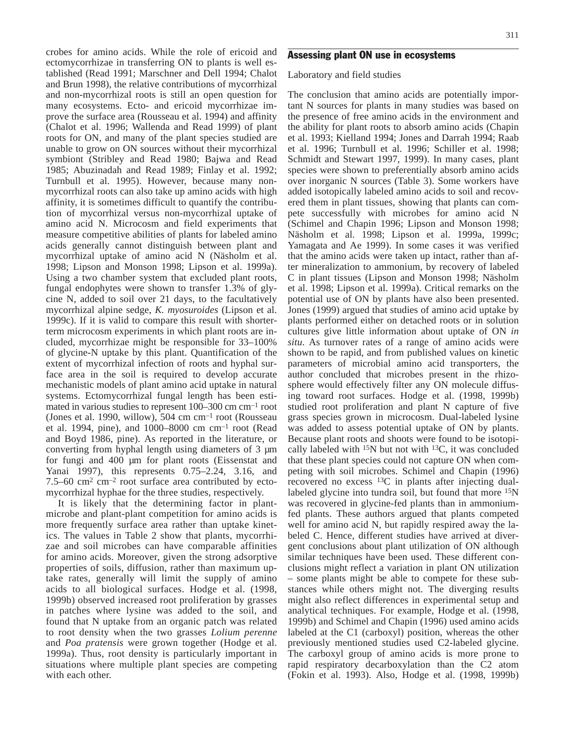crobes for amino acids. While the role of ericoid and ectomycorrhizae in transferring ON to plants is well established (Read 1991; Marschner and Dell 1994; Chalot and Brun 1998), the relative contributions of mycorrhizal and non-mycorrhizal roots is still an open question for many ecosystems. Ecto- and ericoid mycorrhizae improve the surface area (Rousseau et al. 1994) and affinity (Chalot et al. 1996; Wallenda and Read 1999) of plant roots for ON, and many of the plant species studied are unable to grow on ON sources without their mycorrhizal symbiont (Stribley and Read 1980; Bajwa and Read 1985; Abuzinadah and Read 1989; Finlay et al. 1992; Turnbull et al. 1995). However, because many nonmycorrhizal roots can also take up amino acids with high affinity, it is sometimes difficult to quantify the contribution of mycorrhizal versus non-mycorrhizal uptake of amino acid N. Microcosm and field experiments that measure competitive abilities of plants for labeled amino acids generally cannot distinguish between plant and mycorrhizal uptake of amino acid N (Näsholm et al. 1998; Lipson and Monson 1998; Lipson et al. 1999a). Using a two chamber system that excluded plant roots, fungal endophytes were shown to transfer 1.3% of glycine N, added to soil over 21 days, to the facultatively mycorrhizal alpine sedge, *K. myosuroides* (Lipson et al. 1999c). If it is valid to compare this result with shorterterm microcosm experiments in which plant roots are included, mycorrhizae might be responsible for 33–100% of glycine-N uptake by this plant. Quantification of the extent of mycorrhizal infection of roots and hyphal surface area in the soil is required to develop accurate mechanistic models of plant amino acid uptake in natural systems. Ectomycorrhizal fungal length has been estimated in various studies to represent 100–300 cm cm–1 root (Jones et al. 1990, willow), 504 cm cm–1 root (Rousseau et al. 1994, pine), and 1000–8000 cm  $cm^{-1}$  root (Read and Boyd 1986, pine). As reported in the literature, or converting from hyphal length using diameters of 3 µm for fungi and 400 µm for plant roots (Eissenstat and Yanai 1997), this represents 0.75–2.24, 3.16, and 7.5–60 cm<sup>2</sup> cm<sup>-2</sup> root surface area contributed by ectomycorrhizal hyphae for the three studies, respectively.

It is likely that the determining factor in plantmicrobe and plant-plant competition for amino acids is more frequently surface area rather than uptake kinetics. The values in Table 2 show that plants, mycorrhizae and soil microbes can have comparable affinities for amino acids. Moreover, given the strong adsorptive properties of soils, diffusion, rather than maximum uptake rates, generally will limit the supply of amino acids to all biological surfaces. Hodge et al. (1998, 1999b) observed increased root proliferation by grasses in patches where lysine was added to the soil, and found that N uptake from an organic patch was related to root density when the two grasses *Lolium perenne* and *Poa pratensis* were grown together (Hodge et al. 1999a). Thus, root density is particularly important in situations where multiple plant species are competing with each other.

# Assessing plant ON use in ecosystems

Laboratory and field studies

The conclusion that amino acids are potentially important N sources for plants in many studies was based on the presence of free amino acids in the environment and the ability for plant roots to absorb amino acids (Chapin et al. 1993; Kielland 1994; Jones and Darrah 1994; Raab et al. 1996; Turnbull et al. 1996; Schiller et al. 1998; Schmidt and Stewart 1997, 1999). In many cases, plant species were shown to preferentially absorb amino acids over inorganic N sources (Table 3). Some workers have added isotopically labeled amino acids to soil and recovered them in plant tissues, showing that plants can compete successfully with microbes for amino acid N (Schimel and Chapin 1996; Lipson and Monson 1998; Näsholm et al. 1998; Lipson et al. 1999a, 1999c; Yamagata and Ae 1999). In some cases it was verified that the amino acids were taken up intact, rather than after mineralization to ammonium, by recovery of labeled C in plant tissues (Lipson and Monson 1998; Näsholm et al. 1998; Lipson et al. 1999a). Critical remarks on the potential use of ON by plants have also been presented. Jones (1999) argued that studies of amino acid uptake by plants performed either on detached roots or in solution cultures give little information about uptake of ON *in situ*. As turnover rates of a range of amino acids were shown to be rapid, and from published values on kinetic parameters of microbial amino acid transporters, the author concluded that microbes present in the rhizosphere would effectively filter any ON molecule diffusing toward root surfaces. Hodge et al. (1998, 1999b) studied root proliferation and plant N capture of five grass species grown in microcosm. Dual-labeled lysine was added to assess potential uptake of ON by plants. Because plant roots and shoots were found to be isotopically labeled with  $15N$  but not with  $13C$ , it was concluded that these plant species could not capture ON when competing with soil microbes. Schimel and Chapin (1996) recovered no excess 13C in plants after injecting duallabeled glycine into tundra soil, but found that more <sup>15</sup>N was recovered in glycine-fed plants than in ammoniumfed plants. These authors argued that plants competed well for amino acid N, but rapidly respired away the labeled C. Hence, different studies have arrived at divergent conclusions about plant utilization of ON although similar techniques have been used. These different conclusions might reflect a variation in plant ON utilization – some plants might be able to compete for these substances while others might not. The diverging results might also reflect differences in experimental setup and analytical techniques. For example, Hodge et al. (1998, 1999b) and Schimel and Chapin (1996) used amino acids labeled at the C1 (carboxyl) position, whereas the other previously mentioned studies used C2-labeled glycine. The carboxyl group of amino acids is more prone to rapid respiratory decarboxylation than the C2 atom (Fokin et al. 1993). Also, Hodge et al. (1998, 1999b)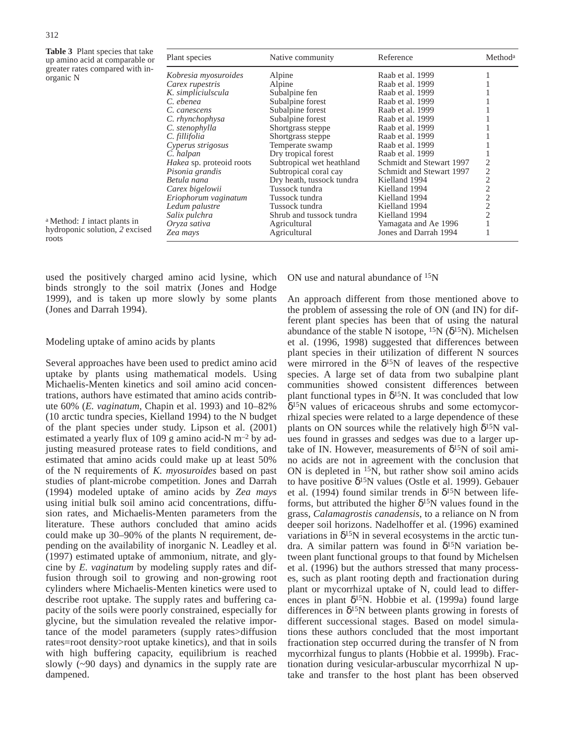**Table 3** Plant species that take up amino acid at comparable or grea orga

| $\ldots$<br>up amino acid at comparable or                                          | Plant species            | Native community          | Reference                | Methoda        |
|-------------------------------------------------------------------------------------|--------------------------|---------------------------|--------------------------|----------------|
| greater rates compared with in-<br>organic N<br>a Method: <i>I</i> intact plants in | Kobresia myosuroides     | Alpine                    | Raab et al. 1999         |                |
|                                                                                     | Carex rupestris          | Alpine                    | Raab et al. 1999         |                |
|                                                                                     | K. simpliciulscula       | Subalpine fen             | Raab et al. 1999         |                |
|                                                                                     | C. ebenea                | Subalpine forest          | Raab et al. 1999         |                |
|                                                                                     | C. canescens             | Subalpine forest          | Raab et al. 1999         |                |
|                                                                                     | C. rhynchophysa          | Subalpine forest          | Raab et al. 1999         |                |
|                                                                                     | C. stenophylla           | Shortgrass steppe         | Raab et al. 1999         |                |
|                                                                                     | C. fillifolia            | Shortgrass steppe         | Raab et al. 1999         |                |
|                                                                                     | Cyperus strigosus        | Temperate swamp           | Raab et al. 1999         |                |
|                                                                                     | C. halpan                | Dry tropical forest       | Raab et al. 1999         |                |
|                                                                                     | Hakea sp. proteoid roots | Subtropical wet heathland | Schmidt and Stewart 1997 |                |
|                                                                                     | Pisonia grandis          | Subtropical coral cay     | Schmidt and Stewart 1997 | $\overline{2}$ |
|                                                                                     | Betula nana              | Dry heath, tussock tundra | Kielland 1994            |                |
|                                                                                     | Carex bigelowii          | Tussock tundra            | Kielland 1994            | 2              |
|                                                                                     | Eriophorum vaginatum     | Tussock tundra            | Kielland 1994            |                |
|                                                                                     | Ledum palustre           | Tussock tundra            | Kielland 1994            | $\overline{2}$ |
|                                                                                     | Salix pulchra            | Shrub and tussock tundra  | Kielland 1994            |                |
|                                                                                     | Oryza sativa             | Agricultural              | Yamagata and Ae 1996     |                |
| hydroponic solution, 2 excised<br>roots                                             | Zea mays                 | Agricultural              | Jones and Darrah 1994    |                |

used the positively charged amino acid lysine, which binds strongly to the soil matrix (Jones and Hodge 1999), and is taken up more slowly by some plants (Jones and Darrah 1994).

#### Modeling uptake of amino acids by plants

Several approaches have been used to predict amino acid uptake by plants using mathematical models. Using Michaelis-Menten kinetics and soil amino acid concentrations, authors have estimated that amino acids contribute 60% (*E. vaginatum*, Chapin et al. 1993) and 10–82% (10 arctic tundra species, Kielland 1994) to the N budget of the plant species under study. Lipson et al. (2001) estimated a yearly flux of 109 g amino acid-N m–2 by adjusting measured protease rates to field conditions, and estimated that amino acids could make up at least 50% of the N requirements of *K. myosuroides* based on past studies of plant-microbe competition. Jones and Darrah (1994) modeled uptake of amino acids by *Zea mays* using initial bulk soil amino acid concentrations, diffusion rates, and Michaelis-Menten parameters from the literature. These authors concluded that amino acids could make up 30–90% of the plants N requirement, depending on the availability of inorganic N. Leadley et al. (1997) estimated uptake of ammonium, nitrate, and glycine by *E. vaginatum* by modeling supply rates and diffusion through soil to growing and non-growing root cylinders where Michaelis-Menten kinetics were used to describe root uptake. The supply rates and buffering capacity of the soils were poorly constrained, especially for glycine, but the simulation revealed the relative importance of the model parameters (supply rates>diffusion rates=root density>root uptake kinetics), and that in soils with high buffering capacity, equilibrium is reached slowly (~90 days) and dynamics in the supply rate are dampened.

ON use and natural abundance of 15N

An approach different from those mentioned above to the problem of assessing the role of ON (and IN) for different plant species has been that of using the natural abundance of the stable N isotope,  $^{15}N$  ( $\delta^{15}N$ ). Michelsen et al. (1996, 1998) suggested that differences between plant species in their utilization of different N sources were mirrored in the  $\delta^{15}N$  of leaves of the respective species. A large set of data from two subalpine plant communities showed consistent differences between plant functional types in  $\delta^{15}N$ . It was concluded that low δ15N values of ericaceous shrubs and some ectomycorrhizal species were related to a large dependence of these plants on ON sources while the relatively high  $\delta^{15}$ N values found in grasses and sedges was due to a larger uptake of IN. However, measurements of  $\delta^{15}N$  of soil amino acids are not in agreement with the conclusion that ON is depleted in 15N, but rather show soil amino acids to have positive  $\delta^{15}N$  values (Ostle et al. 1999). Gebauer et al. (1994) found similar trends in  $\delta^{15}N$  between lifeforms, but attributed the higher  $\delta^{15}$ N values found in the grass, *Calamagrostis canadensis*, to a reliance on N from deeper soil horizons. Nadelhoffer et al. (1996) examined variations in  $\delta^{15}N$  in several ecosystems in the arctic tundra. A similar pattern was found in  $\delta^{15}N$  variation between plant functional groups to that found by Michelsen et al. (1996) but the authors stressed that many processes, such as plant rooting depth and fractionation during plant or mycorrhizal uptake of N, could lead to differences in plant  $\delta^{15}N$ . Hobbie et al. (1999a) found large differences in  $\delta^{15}N$  between plants growing in forests of different successional stages. Based on model simulations these authors concluded that the most important fractionation step occurred during the transfer of N from mycorrhizal fungus to plants (Hobbie et al. 1999b). Fractionation during vesicular-arbuscular mycorrhizal N uptake and transfer to the host plant has been observed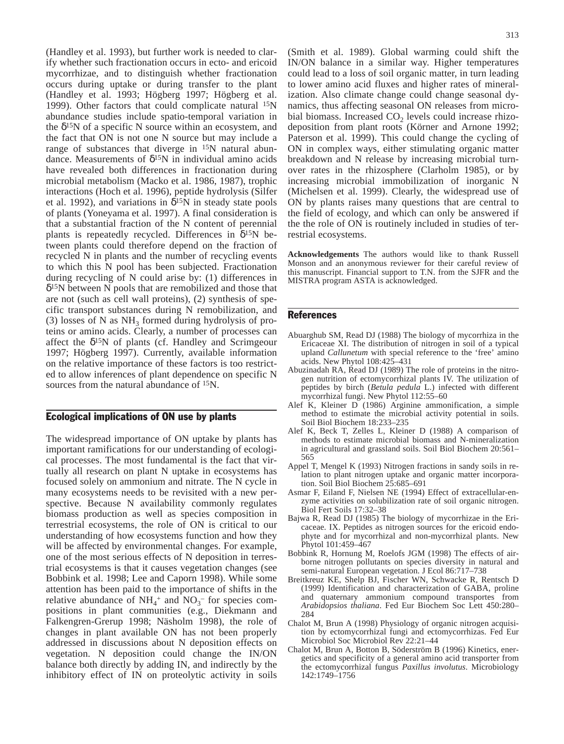(Handley et al. 1993), but further work is needed to clarify whether such fractionation occurs in ecto- and ericoid mycorrhizae, and to distinguish whether fractionation occurs during uptake or during transfer to the plant (Handley et al. 1993; Högberg 1997; Högberg et al. 1999). Other factors that could complicate natural 15N abundance studies include spatio-temporal variation in the  $\delta^{15}$ N of a specific N source within an ecosystem, and the fact that ON is not one N source but may include a range of substances that diverge in 15N natural abundance. Measurements of  $\delta^{15}N$  in individual amino acids have revealed both differences in fractionation during microbial metabolism (Macko et al. 1986, 1987), trophic interactions (Hoch et al. 1996), peptide hydrolysis (Silfer et al. 1992), and variations in  $\delta^{15}$ N in steady state pools of plants (Yoneyama et al. 1997). A final consideration is that a substantial fraction of the N content of perennial plants is repeatedly recycled. Differences in  $\delta^{15}N$  between plants could therefore depend on the fraction of recycled N in plants and the number of recycling events to which this N pool has been subjected. Fractionation during recycling of N could arise by: (1) differences in δ15N between N pools that are remobilized and those that are not (such as cell wall proteins), (2) synthesis of specific transport substances during N remobilization, and (3) losses of N as  $NH_3$  formed during hydrolysis of proteins or amino acids. Clearly, a number of processes can affect the  $\delta^{15}N$  of plants (cf. Handley and Scrimgeour 1997; Högberg 1997). Currently, available information on the relative importance of these factors is too restricted to allow inferences of plant dependence on specific N sources from the natural abundance of <sup>15</sup>N.

## Ecological implications of ON use by plants

The widespread importance of ON uptake by plants has important ramifications for our understanding of ecological processes. The most fundamental is the fact that virtually all research on plant N uptake in ecosystems has focused solely on ammonium and nitrate. The N cycle in many ecosystems needs to be revisited with a new perspective. Because N availability commonly regulates biomass production as well as species composition in terrestrial ecosystems, the role of ON is critical to our understanding of how ecosystems function and how they will be affected by environmental changes. For example, one of the most serious effects of N deposition in terrestrial ecosystems is that it causes vegetation changes (see Bobbink et al. 1998; Lee and Caporn 1998). While some attention has been paid to the importance of shifts in the relative abundance of  $NH_4$ <sup>+</sup> and  $NO_3$ <sup>-</sup> for species compositions in plant communities (e.g., Diekmann and Falkengren-Grerup 1998; Näsholm 1998), the role of changes in plant available ON has not been properly addressed in discussions about N deposition effects on vegetation. N deposition could change the IN/ON balance both directly by adding IN, and indirectly by the inhibitory effect of IN on proteolytic activity in soils

(Smith et al. 1989). Global warming could shift the IN/ON balance in a similar way. Higher temperatures could lead to a loss of soil organic matter, in turn leading to lower amino acid fluxes and higher rates of mineralization. Also climate change could change seasonal dynamics, thus affecting seasonal ON releases from microbial biomass. Increased  $CO<sub>2</sub>$  levels could increase rhizodeposition from plant roots (Körner and Arnone 1992; Paterson et al. 1999). This could change the cycling of ON in complex ways, either stimulating organic matter breakdown and N release by increasing microbial turnover rates in the rhizosphere (Clarholm 1985), or by increasing microbial immobilization of inorganic N (Michelsen et al. 1999). Clearly, the widespread use of ON by plants raises many questions that are central to the field of ecology, and which can only be answered if the the role of ON is routinely included in studies of terrestrial ecosystems.

**Acknowledgements** The authors would like to thank Russell Monson and an anonymous reviewer for their careful review of this manuscript. Financial support to T.N. from the SJFR and the MISTRA program ASTA is acknowledged.

## **References**

- Abuarghub SM, Read DJ (1988) The biology of mycorrhiza in the Ericaceae XI. The distribution of nitrogen in soil of a typical upland *Callunetum* with special reference to the 'free' amino acids. New Phytol 108:425–431
- Abuzinadah RA, Read DJ (1989) The role of proteins in the nitrogen nutrition of ectomycorrhizal plants IV. The utilization of peptides by birch (*Betula pedula* L.) infected with different mycorrhizal fungi. New Phytol 112:55–60
- Alef K, Kleiner D (1986) Arginine ammonification, a simple method to estimate the microbial activity potential in soils. Soil Biol Biochem 18:233–235
- Alef K, Beck T, Zelles L, Kleiner D (1988) A comparison of methods to estimate microbial biomass and N-mineralization in agricultural and grassland soils. Soil Biol Biochem 20:561– 565
- Appel T, Mengel K (1993) Nitrogen fractions in sandy soils in relation to plant nitrogen uptake and organic matter incorporation. Soil Biol Biochem 25:685–691
- Asmar F, Eiland F, Nielsen NE (1994) Effect of extracellular-enzyme activities on solubilization rate of soil organic nitrogen. Biol Fert Soils 17:32–38
- Bajwa R, Read DJ (1985) The biology of mycorrhizae in the Ericaceae. IX. Peptides as nitrogen sources for the ericoid endophyte and for mycorrhizal and non-mycorrhizal plants. New Phytol 101:459–467
- Bobbink R, Hornung M, Roelofs JGM (1998) The effects of airborne nitrogen pollutants on species diversity in natural and semi-natural European vegetation. J Ecol 86:717–738
- Breitkreuz KE, Shelp BJ, Fischer WN, Schwacke R, Rentsch D (1999) Identification and characterization of GABA, proline and quaternary ammonium compound transportes from *Arabidopsios thaliana*. Fed Eur Biochem Soc Lett 450:280– 284
- Chalot M, Brun A (1998) Physiology of organic nitrogen acquisition by ectomycorrhizal fungi and ectomycorrhizas. Fed Eur Microbiol Soc Microbiol Rev 22:21–44
- Chalot M, Brun A, Botton B, Söderström B (1996) Kinetics, energetics and specificity of a general amino acid transporter from the ectomycorrhizal fungus *Paxillus involutus*. Microbiology 142:1749–1756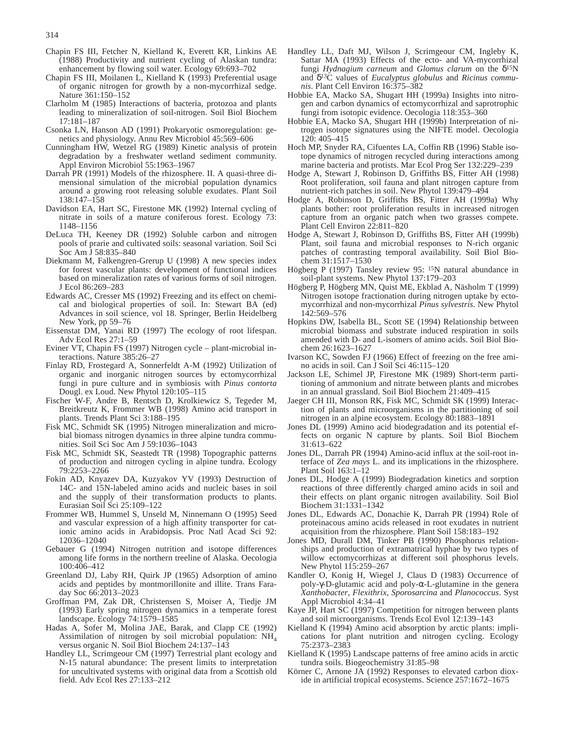- Chapin FS III, Fetcher N, Kielland K, Everett KR, Linkins AE (1988) Productivity and nutrient cycling of Alaskan tundra: enhancement by flowing soil water. Ecology 69:693–702
- Chapin FS III, Moilanen L, Kielland K (1993) Preferential usage of organic nitrogen for growth by a non-mycorrhizal sedge. Nature 361:150–152
- Clarholm M (1985) Interactions of bacteria, protozoa and plants leading to mineralization of soil-nitrogen. Soil Biol Biochem 17:181–187
- Csonka LN, Hanson AD (1991) Prokaryotic osmoregulation: genetics and physiology. Annu Rev Microbiol 45:569–606
- Cunningham HW, Wetzel RG (1989) Kinetic analysis of protein degradation by a freshwater wetland sediment community. Appl Environ Microbiol 55:1963–1967
- Darrah PR (1991) Models of the rhizosphere. II. A quasi-three dimensional simulation of the microbial population dynamics around a growing root releasing soluble exudates. Plant Soil 138:147–158
- Davidson EA, Hart SC, Firestone MK (1992) Internal cycling of nitrate in soils of a mature coniferous forest. Ecology 73: 1148–1156
- DeLuca TH, Keeney DR (1992) Soluble carbon and nitrogen pools of prarie and cultivated soils: seasonal variation. Soil Sci Soc Am J 58:835–840
- Diekmann M, Falkengren-Grerup U (1998) A new species index for forest vascular plants: development of functional indices based on mineralization rates of various forms of soil nitrogen. J Ecol 86:269–283
- Edwards AC, Cresser MS (1992) Freezing and its effect on chemical and biological properties of soil. In: Stewart BA (ed) Advances in soil science, vol 18. Springer, Berlin Heidelberg New York, pp 59–76
- Eissenstat DM, Yanai RD (1997) The ecology of root lifespan. Adv Ecol Res 27:1–59
- Eviner VT, Chapin FS (1997) Nitrogen cycle plant-microbial interactions. Nature 385:26–27
- Finlay RD, Frostegard A, Sonnerfeldt A-M (1992) Utilization of organic and inorganic nitrogen sources by ectomycorrhizal fungi in pure culture and in symbiosis with *Pinus contorta* Dougl. ex Loud. New Phytol 120:105–115
- Fischer W-F, Andre B, Rentsch D, Krolkiewicz S, Tegeder M, Breitkreutz K, Frommer WB (1998) Amino acid transport in plants. Trends Plant Sci 3:188–195
- Fisk MC, Schmidt SK (1995) Nitrogen mineralization and microbial biomass nitrogen dynamics in three alpine tundra communities. Soil Sci Soc Am J 59:1036–1043
- Fisk MC, Schmidt SK, Seastedt TR (1998) Topographic patterns of production and nitrogen cycling in alpine tundra. Ecology 79:2253–2266
- Fokin AD, Knyazev DA, Kuzyakov YV (1993) Destruction of 14C- and 15N-labeled amino acids and nucleic bases in soil and the supply of their transformation products to plants. Eurasian Soil Sci 25:109–122
- Frommer WB, Hummel S, Unseld M, Ninnemann O (1995) Seed and vascular expression of a high affinity transporter for cationic amino acids in Arabidopsis. Proc Natl Acad Sci 92: 12036–12040
- Gebauer G (1994) Nitrogen nutrition and isotope differences among life forms in the northern treeline of Alaska. Oecologia 100:406–412
- Greenland DJ, Laby RH, Quirk JP (1965) Adsorption of amino acids and peptides by montmorillonite and illite. Trans Faraday Soc 66:2013–2023
- Groffman PM, Zak DR, Christensen S, Moiser A, Tiedje JM (1993) Early spring nitrogen dynamics in a temperate forest landscape. Ecology 74:1579–1585
- Hadas A, Sofer M, Molina JAE, Barak, and Clapp CE (1992) Assimilation of nitrogen by soil microbial population: NH4 versus organic N. Soil Biol Biochem 24:137–143
- Handley LL, Scrimgeour CM (1997) Terrestrial plant ecology and N-15 natural abundance: The present limits to interpretation for uncultivated systems with original data from a Scottish old field. Adv Ecol Res 27:133–212
- Handley LL, Daft MJ, Wilson J, Scrimgeour CM, Ingleby K, Sattar MA (1993) Effects of the ecto- and VA-mycorrhizal fungi *Hydnagium carneum* and *Glomus clarum* on the δ15N and δ13C values of *Eucalyptus globulus* and *Ricinus communis*. Plant Cell Environ 16:375–382
- Hobbie EA, Macko SA, Shugart HH (1999a) Insights into nitrogen and carbon dynamics of ectomycorrhizal and saprotrophic fungi from isotopic evidence. Oecologia 118:353–360
- Hobbie EA, Macko SA, Shugart HH (1999b) Interpretation of nitrogen isotope signatures using the NIFTE model. Oecologia 120: 405–415
- Hoch MP, Snyder RA, Cifuentes LA, Coffin RB (1996) Stable isotope dynamics of nitrogen recycled during interactions among marine bacteria and protists. Mar Ecol Prog Ser 132:229–239
- Hodge A, Stewart J, Robinson D, Griffiths BS, Fitter AH (1998) Root proliferation, soil fauna and plant nitrogen capture from nutrient-rich patches in soil. New Phytol 139:479–494
- Hodge A, Robinson D, Griffiths BS, Fitter AH (1999a) Why plants bother: root proliferation results in increased nitrogen capture from an organic patch when two grasses compete. Plant Cell Environ 22:811–820
- Hodge A, Stewart J, Robinson D, Griffiths BS, Fitter AH (1999b) Plant, soil fauna and microbial responses to N-rich organic patches of contrasting temporal availability. Soil Biol Biochem 31:1517–1530
- Högberg P (1997) Tansley review 95: 15N natural abundance in soil-plant systems. New Phytol 137:179–203
- Högberg P, Högberg MN, Quist ME, Ekblad A, Näsholm T (1999) Nitrogen isotope fractionation during nitrogen uptake by ectomycorrhizal and non-mycorrhizal *Pinus sylvestris*. New Phytol 142:569–576
- Hopkins DW, Isabella BL, Scott SE (1994) Relationship between microbial biomass and substrate induced respiration in soils amended with D- and L-isomers of amino acids. Soil Biol Biochem 26:1623–1627
- Ivarson KC, Sowden FJ (1966) Effect of freezing on the free amino acids in soil. Can J Soil Sci 46:115–120
- Jackson LE, Schimel JP, Firestone MK (1989) Short-term partitioning of ammonium and nitrate between plants and microbes in an annual grassland. Soil Biol Biochem 21:409–415
- Jaeger CH III, Monson RK, Fisk MC, Schmidt SK (1999) Interaction of plants and microorganisms in the partitioning of soil nitrogen in an alpine ecosystem. Ecology 80:1883–1891
- Jones DL (1999) Amino acid biodegradation and its potential effects on organic N capture by plants. Soil Biol Biochem 31:613–622
- Jones DL, Darrah PR (1994) Amino-acid influx at the soil-root interface of *Zea mays* L. and its implications in the rhizosphere. Plant Soil 163:1–12
- Jones DL, Hodge A (1999) Biodegradation kinetics and sorption reactions of three differently charged amino acids in soil and their effects on plant organic nitrogen availability. Soil Biol Biochem 31:1331–1342
- Jones DL, Edwards AC, Donachie K, Darrah PR (1994) Role of proteinacous amino acids released in root exudates in nutrient acquisition from the rhizosphere. Plant Soil 158:183–192
- Jones MD, Durall DM, Tinker PB (1990) Phosphorus relationships and production of extramatrical hyphae by two types of willow ectomycorrhizas at different soil phosphorus levels. New Phytol 115:259–267
- Kandler O, Konig H, Wiegel J, Claus D (1983) Occurrence of poly-γ-D-glutamic acid and poly-α-L-glutamine in the genera *Xanthobacter*, *Flexithrix*, *Sporosarcina* and *Planococcus*. Syst Appl Microbiol 4:34–41
- Kaye JP, Hart SC (1997) Competition for nitrogen between plants and soil microorganisms. Trends Ecol Evol 12:139–143
- Kielland K (1994) Amino acid absorption by arctic plants: implications for plant nutrition and nitrogen cycling. Ecology 75:2373–2383
- Kielland K (1995) Landscape patterns of free amino acids in arctic tundra soils. Biogeochemistry 31:85–98
- Körner C, Arnone JA (1992) Responses to elevated carbon dioxide in artificial tropical ecosystems. Science 257:1672–1675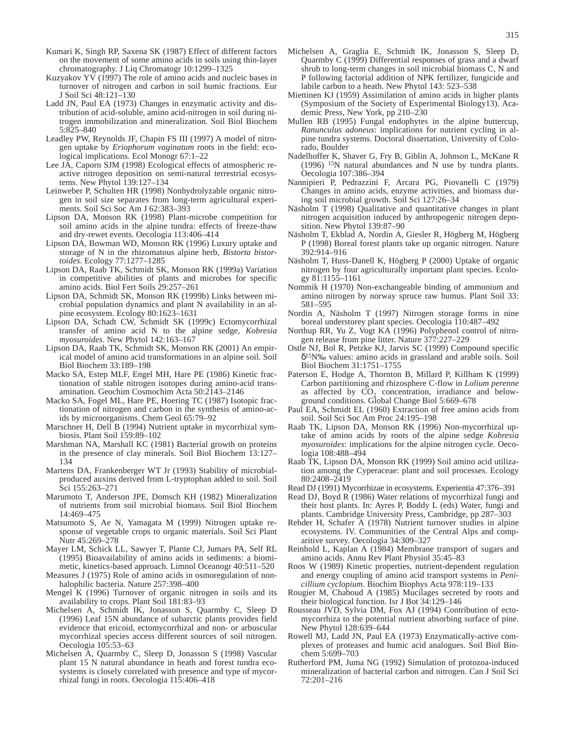- Kumari K, Singh RP, Saxena SK (1987) Effect of different factors on the movement of some amino acids in soils using thin-layer chromatography. J Liq Chromatogr 10:1299–1325
- Kuzyakov  $Y\overline{V}$  (1997) The role of amino acids and nucleic bases in turnover of nitrogen and carbon in soil humic fractions. Eur J Soil Sci 48:121–130
- Ladd JN, Paul EA (1973) Changes in enzymatic activity and distribution of acid-soluble, amino acid-nitrogen in soil during nitrogen immobilization and mineralization. Soil Biol Biochem 5:825–840
- Leadley PW, Reynolds JF, Chapin FS III (1997) A model of nitrogen uptake by *Eriophorum vaginatum* roots in the field: ecological implications. Ecol Monogr 67:1–22
- Lee JA, Caporn SJM (1998) Ecological effects of atmospheric reactive nitrogen deposition on semi-natural terrestrial ecosystems. New Phytol 139:127–134
- Leinweber P, Schulten HR (1998) Nonhydrolyzable organic nitrogen in soil size separates from long-term agricultural experiments. Soil Sci Soc Am J 62:383–393
- Lipson DA, Monson RK (1998) Plant-microbe competition for soil amino acids in the alpine tundra: effects of freeze-thaw and dry-rewet events. Oecologia 113:406–414
- Lipson DA, Bowman WD, Monson RK (1996) Luxury uptake and storage of N in the rhizomatous alpine herb, *Bistorta bistortoides*. Ecology 77:1277–1285
- Lipson DA, Raab TK, Schmidt SK, Monson RK (1999a) Variation in competitive abilities of plants and microbes for specific amino acids. Biol Fert Soils 29:257–261
- Lipson DA, Schmidt SK, Monson RK (1999b) Links between microbial population dynamics and plant N availability in an alpine ecosystem. Ecology 80:1623–1631
- Lipson DA, Schadt CW, Schmidt SK (1999c) Ectomycorrhizal transfer of amino acid N to the alpine sedge, *Kobresia myosuroides*. New Phytol 142:163–167
- Lipson DA, Raab TK, Schmidt SK, Monson RK (2001) An empirical model of amino acid transformations in an alpine soil. Soil Biol Biochem 33:189–198
- Macko SA, Estep MLF, Engel MH, Hare PE (1986) Kinetic fractionation of stable nitrogen isotopes during amino-acid transamination. Geochim Cosmochim Acta 50:2143–2146
- Macko SA, Fogel ML, Hare PE, Hoering TC (1987) Isotopic fractionation of nitrogen and carbon in the synthesis of amino-acids by microorganisms. Chem Geol 65:79–92
- Marschner H, Dell B (1994) Nutrient uptake in mycorrhizal symbiosis. Plant Soil 159:89–102
- Marshman NA, Marshall KC (1981) Bacterial growth on proteins in the presence of clay minerals. Soil Biol Biochem 13:127– 134
- Martens DA, Frankenberger WT Jr (1993) Stability of microbialproduced auxins derived from L-tryptophan added to soil. Soil Sci 155:263–271
- Marumoto T, Anderson JPE, Domsch KH (1982) Mineralization of nutrients from soil microbial biomass. Soil Biol Biochem 14:469–475
- Matsumoto S, Ae N, Yamagata M (1999) Nitrogen uptake response of vegetable crops to organic materials. Soil Sci Plant Nutr 45:269–278
- Mayer LM, Schick LL, Sawyer T, Plante CJ, Jumars PA, Self RL (1995) Bioavailability of amino acids in sediments: a biomimetic, kinetics-based approach. Limnol Oceanogr 40:511–520
- Measures J (1975) Role of amino acids in osmoregulation of nonhalophilic bacteria. Nature 257:398–400
- Mengel  $K$  (1996) Turnover of organic nitrogen in soils and its availability to crops. Plant Soil 181:83–93
- Michelsen A, Schmidt IK, Jonasson S, Quarmby C, Sleep D (1996) Leaf 15N abundance of subarctic plants provides field evidence that ericoid, ectomycorrhizal and non- or arbuscular mycorrhizal species access different sources of soil nitrogen. Oecologia 105:53–63
- Michelsen A, Quarmby C, Sleep D, Jonasson S (1998) Vascular plant 15 N natural abundance in heath and forest tundra ecosystems is closely correlated with presence and type of mycorrhizal fungi in roots. Oecologia 115:406–418
- Michelsen A, Graglia E, Schmidt IK, Jonasson S, Sleep D, Quarmby C (1999) Differential responses of grass and a dwarf shrub to long-term changes in soil microbial biomass C, N and P following factorial addition of NPK fertilizer, fungicide and labile carbon to a heath. New Phytol 143: 523–538
- Miettinen KJ (1959) Assimilation of amino acids in higher plants (Symposium of the Society of Experimental Biology13). Academic Press, New York, pp 210–230
- Mullen RB (1995) Fungal endophytes in the alpine buttercup, *Ranunculus adoneus*: implications for nutrient cycling in alpine tundra systems. Doctoral dissertation, University of Colorado, Boulder
- Nadelhoffer K, Shaver G, Fry B, Giblin A, Johnson L, McKane R (1996) 15N natural abundances and N use by tundra plants. Oecologia 107:386–394
- Nannipieri P, Pedrazzini F, Arcara PG, Piovanelli C (1979) Changes in amino acids, enzyme activities, and biomass during soil microbial growth. Soil Sci 127:26–34
- Näsholm T (1998) Qualitative and quantitative changes in plant nitrogen acquisition induced by anthropogenic nitrogen deposition. New Phytol 139:87–90
- Näsholm T, Ekblad A, Nordin A, Giesler R, Högberg M, Högberg P (1998) Boreal forest plants take up organic nitrogen. Nature 392:914–916
- Näsholm T, Huss-Danell K, Högberg P (2000) Uptake of organic nitrogen by four agriculturally important plant species. Ecology 81:1155–1161
- Nommik H (1970) Non-exchangeable binding of ammonium and amino nitrogen by norway spruce raw humus. Plant Soil 33: 581–595
- Nordin A, Näsholm T (1997) Nitrogen storage forms in nine boreal understorey plant species. Oecologia 110:487–492
- Northup RR, Yu Z, Vogt KA (1996) Polyphenol control of nitrogen release from pine litter. Nature 377:227–229
- Ostle NJ, Bol R, Petzke KJ, Jarvis SC (1999) Compound specific δ15N‰ values: amino acids in grassland and arable soils. Soil Biol Biochem 31:1751–1755
- Paterson E, Hodge A, Thornton B, Millard P, Killham K (1999) Carbon partitioning and rhizosphere C-flow in *Lolium perenne* as affected by  $CO<sub>2</sub>$  concentration, irradiance and belowground conditions. Global Change Biol 5:669–678
- Paul EA, Schmidt EL (1960) Extraction of free amino acids from soil. Soil Sci Soc Am Proc 24:195–198
- Raab TK, Lipson DA, Monson RK (1996) Non-mycorrhizal uptake of amino acids by roots of the alpine sedge *Kobresia myosuroides*: implications for the alpine nitrogen cycle. Oecologia 108:488–494
- Raab TK, Lipson DA, Monson RK (1999) Soil amino acid utilization among the Cyperaceae: plant and soil processes. Ecology 80:2408–2419
- Read DJ (1991) Mycorrhizae in ecosystems. Experientia 47:376–391
- Read DJ, Boyd R (1986) Water relations of mycorrhizal fungi and their host plants. In: Ayres P, Boddy L (eds) Water, fungi and plants. Cambridge University Press, Cambridge, pp 287–303
- Rehder H, Schafer A (1978) Nutrient turnover studies in alpine ecosystems. IV. Communities of the Central Alps and comparitive survey. Oecologia 34:309–327
- Reinhold L, Kaplan A (1984) Membrane transport of sugars and amino acids. Annu Rev Plant Physiol 35:45–83
- Roos W (1989) Kinetic properties, nutrient-dependent regulation and energy coupling of amino acid transport systems in *Penicillium cyclopium*. Biochim Biophys Acta 978:119–133
- Rougier M, Chaboud A (1985) Mucilages secreted by roots and their biological function. Isr J Bot 34:129–146
- Rousseau JVD, Sylvia DM, Fox AJ (1994) Contribution of ectomycorrhiza to the potential nutrient absorbing surface of pine. New Phytol 128:639–644
- Rowell MJ, Ladd JN, Paul EA (1973) Enzymatically-active complexes of proteases and humic acid analogues. Soil Biol Biochem 5:699–703
- Rutherford PM, Juma NG (1992) Simulation of protozoa-induced mineralization of bacterial carbon and nitrogen. Can J Soil Sci 72:201–216